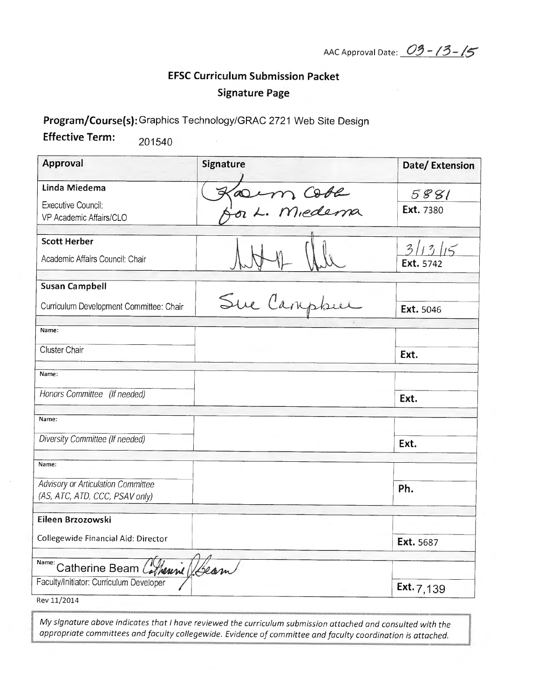AAC Approval Date: 03-13-15

## **EFSC Curriculum Submission Packet Signature Page**

Program/Course(s): Graphics Technology/GRAC 2721 Web Site Design

**Effective Term:** 201540

| Approval                                                                       | <b>Signature</b> | Date/Extension       |
|--------------------------------------------------------------------------------|------------------|----------------------|
| Linda Miedema                                                                  |                  | 5881                 |
| Executive Council:                                                             | Jacim Cobe       | Ext. 7380            |
| VP Academic Affairs/CLO                                                        |                  |                      |
| <b>Scott Herber</b>                                                            |                  |                      |
| Academic Affairs Council: Chair                                                |                  | 3/13/15<br>Ext. 5742 |
| <b>Susan Campbell</b>                                                          |                  |                      |
| Curriculum Development Committee: Chair                                        | Sue Campbel      | Ext. 5046            |
| Name:                                                                          |                  |                      |
| Cluster Chair                                                                  |                  | Ext.                 |
| Name:                                                                          |                  |                      |
| Honors Committee (If needed)                                                   |                  | Ext.                 |
| Name:                                                                          |                  |                      |
| Diversity Committee (If needed)                                                |                  | Ext.                 |
| Name:                                                                          |                  |                      |
| Advisory or Articulation Committee                                             |                  | Ph.                  |
| (AS, ATC, ATD, CCC, PSAV only)                                                 |                  |                      |
| Eileen Brzozowski                                                              |                  |                      |
| Collegewide Financial Aid: Director                                            |                  | Ext. 5687            |
|                                                                                |                  |                      |
| Name: Catherine Beam Colhenni (Geom<br>Faculty/Initiator: Curriculum Developer |                  |                      |
| Rev 11/2014                                                                    |                  | Ext. $7,139$         |

My signature above indicates that I have reviewed the curriculum submission attached and consulted with the appropriate committees and faculty collegewide. Evidence of committee and faculty coordination is attached.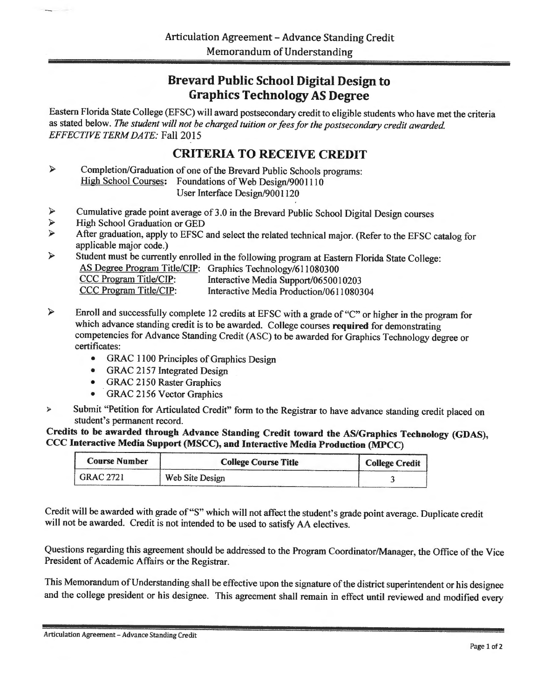## Brevard Public School Digital Design to Graphics Technology AS Degree

Eastern Florida State College (EFSC) will award postsecondary credit to eligible students who have met the criteria as stated below. *The student will not be charged tuition or fees for the postsecondary credit awarded. EFFECTIVE TERM DATE:* Fall 2015

## CRITERIA TO RECEIVE CREDIT

- Completion/Graduation of one of the Brevard Public Schools programs:  $\blacktriangleright$ High School Courses: Foundations of Web Design/9001110 User Interface Design/9001120
- $\geq$  Cumulative grade point average of 3.0 in the Brevard Public School Digital Design courses<br>  $\geq$  High School Graduation or GED
- <sup>~</sup>High School Graduation or GED
- <sup>~</sup>After graduation, apply to EFSC and select the related technical major. (Refer to the EFSC catalog for applicable major code.)
- <sup>~</sup>Student must be currently enrolled in the following program at Eastern Florida State College: AS Degree Program Title/CIP: Graphics Technology/611080300<br>CCC Program Title/CIP: Interactive Media Support/065001 CCC Program Title/CIP: Interactive Media Support/0650010203<br>CCC Program Title/CIP: Interactive Media Production/06110803 Interactive Media Production/0611080304
- $\blacktriangleright$ Enroll and successfully complete 12 credits at EFSC with a grade of "C" or higher in the program for which advance standing credit is to be awarded. College courses required for demonstrating competencies for Advance Standing Credit (ASC) to be awarded for Graphics Technology degree or certificates:
	- GRAC 1100 Principles of Graphics Design
	- GRAC 2157 Integrated Design
	- GRAC 2150 Raster Graphics
	- GRAC 2156 Vector Graphics
- <sup>~</sup>Submit "Petition for Articulated Credit" form to the Registrar to have advance standing credit placed on student's permanent record.

Credits to be awarded through Advance Standing Credit toward the AS/Graphics Technology (GDAS), CCC Interactive Media Support (MSCC), and Interactive Media Production (MPCC)

| <b>Course Number</b> | <b>College Course Title</b> | <b>College Credit</b> |
|----------------------|-----------------------------|-----------------------|
| <b>GRAC 2721</b>     | Web Site Design             |                       |

Credit will be awarded with grade of"S" which will not affect the student's grade point average. Duplicate credit will not be awarded. Credit is not intended to be used to satisfy AA electives.

Questions regarding this agreement should be addressed to the Program Coordinator/Manager, the Office of the Vice President of Academic Affairs or the Registrar.

This Memorandum of Understanding shall be effective upon the signature of the district superintendent or his designee and the college president or his designee. This agreement shall remain in effect until reviewed and modified every

Articulation Agreement - Advance Standing Credit